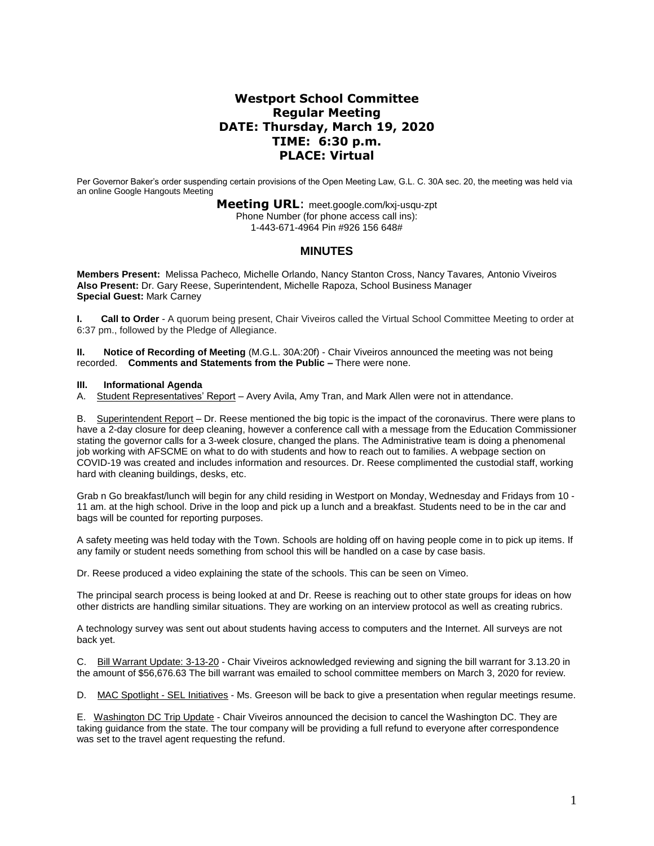# **Westport School Committee Regular Meeting DATE: Thursday, March 19, 2020 TIME: 6:30 p.m. PLACE: Virtual**

Per Governor Baker's order suspending certain provisions of the Open Meeting Law, G.L. C. 30A sec. 20, the meeting was held via an online Google Hangouts Meeting

> **Meeting URL**: meet.google.com/kxj-usqu-zpt Phone Number (for phone access call ins): 1-443-671-4964 Pin #926 156 648#

## **MINUTES**

**Members Present:** Melissa Pacheco*,* Michelle Orlando, Nancy Stanton Cross, Nancy Tavares*,* Antonio Viveiros **Also Present:** Dr. Gary Reese, Superintendent, Michelle Rapoza, School Business Manager **Special Guest:** Mark Carney

**I. Call to Order** - A quorum being present, Chair Viveiros called the Virtual School Committee Meeting to order at 6:37 pm., followed by the Pledge of Allegiance.

**II. Notice of Recording of Meeting** (M.G.L. 30A:20f) - Chair Viveiros announced the meeting was not being recorded. **Comments and Statements from the Public –** There were none.

## **III. Informational Agenda**

A. Student Representatives' Report – Avery Avila, Amy Tran, and Mark Allen were not in attendance.

B. Superintendent Report – Dr. Reese mentioned the big topic is the impact of the coronavirus. There were plans to have a 2-day closure for deep cleaning, however a conference call with a message from the Education Commissioner stating the governor calls for a 3-week closure, changed the plans. The Administrative team is doing a phenomenal job working with AFSCME on what to do with students and how to reach out to families. A webpage section on COVID-19 was created and includes information and resources. Dr. Reese complimented the custodial staff, working hard with cleaning buildings, desks, etc.

Grab n Go breakfast/lunch will begin for any child residing in Westport on Monday, Wednesday and Fridays from 10 - 11 am. at the high school. Drive in the loop and pick up a lunch and a breakfast. Students need to be in the car and bags will be counted for reporting purposes.

A safety meeting was held today with the Town. Schools are holding off on having people come in to pick up items. If any family or student needs something from school this will be handled on a case by case basis.

Dr. Reese produced a video explaining the state of the schools. This can be seen on Vimeo.

The principal search process is being looked at and Dr. Reese is reaching out to other state groups for ideas on how other districts are handling similar situations. They are working on an interview protocol as well as creating rubrics.

A technology survey was sent out about students having access to computers and the Internet. All surveys are not back yet.

C. Bill Warrant Update: 3-13-20 - Chair Viveiros acknowledged reviewing and signing the bill warrant for 3.13.20 in the amount of \$56,676.63 The bill warrant was emailed to school committee members on March 3, 2020 for review.

D. MAC Spotlight - SEL Initiatives - Ms. Greeson will be back to give a presentation when regular meetings resume.

E. Washington DC Trip Update - Chair Viveiros announced the decision to cancel the Washington DC. They are taking guidance from the state. The tour company will be providing a full refund to everyone after correspondence was set to the travel agent requesting the refund.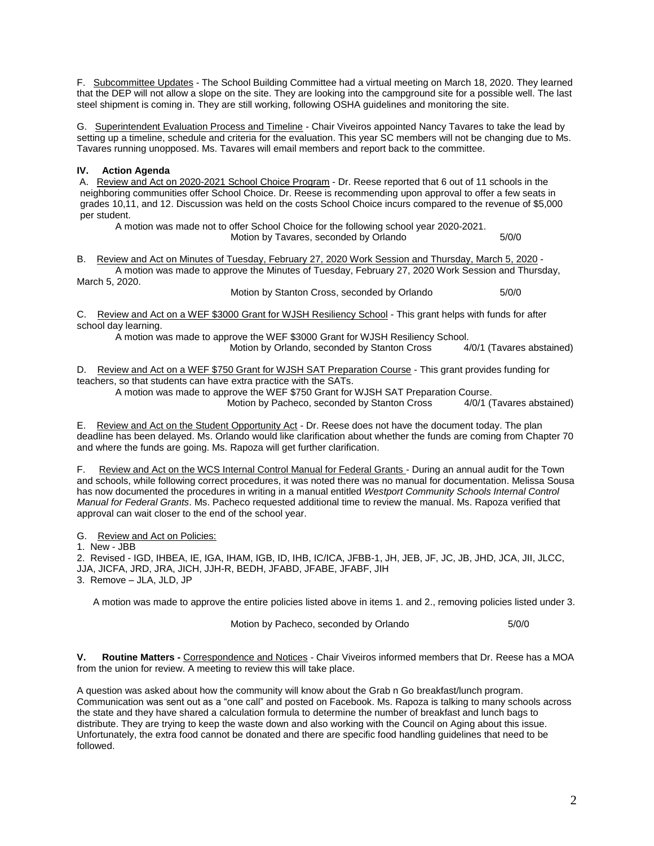F. Subcommittee Updates - The School Building Committee had a virtual meeting on March 18, 2020. They learned that the DEP will not allow a slope on the site. They are looking into the campground site for a possible well. The last steel shipment is coming in. They are still working, following OSHA guidelines and monitoring the site.

G. Superintendent Evaluation Process and Timeline - Chair Viveiros appointed Nancy Tavares to take the lead by setting up a timeline, schedule and criteria for the evaluation. This year SC members will not be changing due to Ms. Tavares running unopposed. Ms. Tavares will email members and report back to the committee.

## **IV. Action Agenda**

A. Review and Act on 2020-2021 School Choice Program - Dr. Reese reported that 6 out of 11 schools in the neighboring communities offer School Choice. Dr. Reese is recommending upon approval to offer a few seats in grades 10,11, and 12. Discussion was held on the costs School Choice incurs compared to the revenue of \$5,000 per student.

A motion was made not to offer School Choice for the following school year 2020-2021. Motion by Tavares, seconded by Orlando 5/0/0

B. Review and Act on Minutes of Tuesday, February 27, 2020 Work Session and Thursday, March 5, 2020 - A motion was made to approve the Minutes of Tuesday, February 27, 2020 Work Session and Thursday, March 5, 2020.

Motion by Stanton Cross, seconded by Orlando 5/0/0

C. Review and Act on a WEF \$3000 Grant for WJSH Resiliency School - This grant helps with funds for after school day learning.

A motion was made to approve the WEF \$3000 Grant for WJSH Resiliency School. Motion by Orlando, seconded by Stanton Cross 4/0/1 (Tavares abstained)

D. Review and Act on a WEF \$750 Grant for WJSH SAT Preparation Course - This grant provides funding for teachers, so that students can have extra practice with the SATs.

A motion was made to approve the WEF \$750 Grant for WJSH SAT Preparation Course. Motion by Pacheco, seconded by Stanton Cross

E. Review and Act on the Student Opportunity Act - Dr. Reese does not have the document today. The plan deadline has been delayed. Ms. Orlando would like clarification about whether the funds are coming from Chapter 70 and where the funds are going. Ms. Rapoza will get further clarification.

F. Review and Act on the WCS Internal Control Manual for Federal Grants - During an annual audit for the Town and schools, while following correct procedures, it was noted there was no manual for documentation. Melissa Sousa has now documented the procedures in writing in a manual entitled *Westport Community Schools Internal Control Manual for Federal Grants*. Ms. Pacheco requested additional time to review the manual. Ms. Rapoza verified that approval can wait closer to the end of the school year.

G. Review and Act on Policies:

1. New - JBB

2. Revised - IGD, IHBEA, IE, IGA, IHAM, IGB, ID, IHB, IC/ICA, JFBB-1, JH, JEB, JF, JC, JB, JHD, JCA, JII, JLCC, JJA, JICFA, JRD, JRA, JICH, JJH-R, BEDH, JFABD, JFABE, JFABF, JIH 3. Remove – JLA, JLD, JP

A motion was made to approve the entire policies listed above in items 1. and 2., removing policies listed under 3.

Motion by Pacheco, seconded by Orlando 5/0/0

**V. Routine Matters -** Correspondence and Notices - Chair Viveiros informed members that Dr. Reese has a MOA from the union for review. A meeting to review this will take place.

A question was asked about how the community will know about the Grab n Go breakfast/lunch program. Communication was sent out as a "one call" and posted on Facebook. Ms. Rapoza is talking to many schools across the state and they have shared a calculation formula to determine the number of breakfast and lunch bags to distribute. They are trying to keep the waste down and also working with the Council on Aging about this issue. Unfortunately, the extra food cannot be donated and there are specific food handling guidelines that need to be followed.